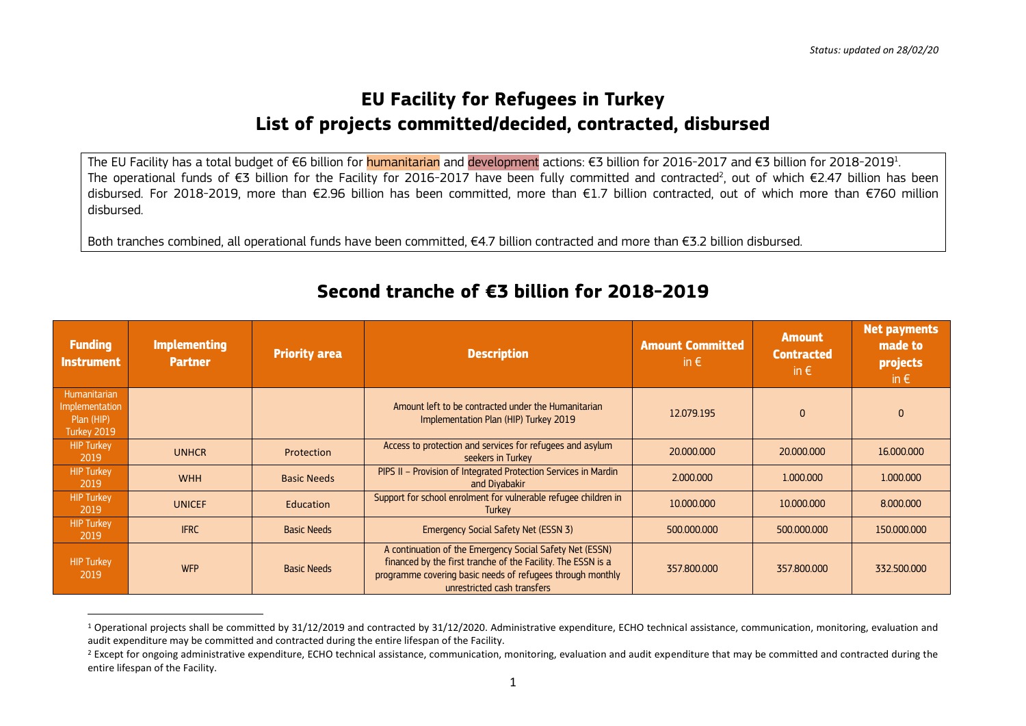## **EU Facility for Refugees in Turkey List of projects committed/decided, contracted, disbursed**

The EU Facility has a total budget of €6 billion for <mark>humanitarian</mark> and <mark>development</mark> actions: €3 billion for 2017 and €3 billion for 2018-2019<sup>1</sup>. The operational funds of €3 billion for the Facility for 2016-2017 have been fully committed and contracted<sup>2</sup>, out of which €2.47 billion has been disbursed. For 2018-2019, more than €2.96 billion has been committed, more than €1.7 billion contracted, out of which more than €760 million disbursed.

Both tranches combined, all operational funds have been committed, €4.7 billion contracted and more than €3.2 billion disbursed.

| <b>Funding</b><br><b>Instrument</b>                         | <b>Implementing</b><br><b>Partner</b> | <b>Priority area</b> | <b>Description</b>                                                                                                                                                                                                    | <b>Amount Committed</b><br>in $\epsilon$ | <b>Amount</b><br><b>Contracted</b><br>in $\epsilon$ | Net payments<br>made to<br>projects<br>in $\epsilon$ |
|-------------------------------------------------------------|---------------------------------------|----------------------|-----------------------------------------------------------------------------------------------------------------------------------------------------------------------------------------------------------------------|------------------------------------------|-----------------------------------------------------|------------------------------------------------------|
| Humanitarian<br>Implementation<br>Plan (HIP)<br>Turkey 2019 |                                       |                      | Amount left to be contracted under the Humanitarian<br>Implementation Plan (HIP) Turkey 2019                                                                                                                          | 12.079.195                               | $\mathbf{0}$                                        | $\Omega$                                             |
| <b>HIP Turkey</b><br>2019                                   | <b>UNHCR</b>                          | Protection           | Access to protection and services for refugees and asylum<br>seekers in Turkey                                                                                                                                        | 20,000,000                               | 20,000,000                                          | 16.000.000                                           |
| <b>HIP Turkey</b><br>2019                                   | <b>WHH</b>                            | <b>Basic Needs</b>   | PIPS II - Provision of Integrated Protection Services in Mardin<br>and Divabakir                                                                                                                                      | 2,000,000                                | 1,000,000                                           | 1.000.000                                            |
| HIP Turkey<br>2019                                          | <b>UNICEF</b>                         | Education            | Support for school enrolment for vulnerable refugee children in<br>Turkey                                                                                                                                             | 10,000,000                               | 10,000,000                                          | 8.000.000                                            |
| <b>HIP Turkey</b><br>2019                                   | <b>IFRC</b>                           | <b>Basic Needs</b>   | Emergency Social Safety Net (ESSN 3)                                                                                                                                                                                  | 500.000.000                              | 500,000,000                                         | 150,000,000                                          |
| <b>HIP Turkey</b><br>2019                                   | <b>WFP</b>                            | <b>Basic Needs</b>   | A continuation of the Emergency Social Safety Net (ESSN)<br>financed by the first tranche of the Facility. The ESSN is a<br>programme covering basic needs of refugees through monthly<br>unrestricted cash transfers | 357.800,000                              | 357.800,000                                         | 332.500.000                                          |

## **Second tranche of €3 billion for 2018-2019**

 $1$  Operational projects shall be committed by 31/12/2019 and contracted by 31/12/2020. Administrative expenditure, ECHO technical assistance, communication, monitoring, evaluation and audit expenditure may be committed and contracted during the entire lifespan of the Facility.

<sup>&</sup>lt;sup>2</sup> Except for ongoing administrative expenditure, ECHO technical assistance, communication, monitoring, evaluation and audit expenditure that may be committed and contracted during the entire lifespan of the Facility.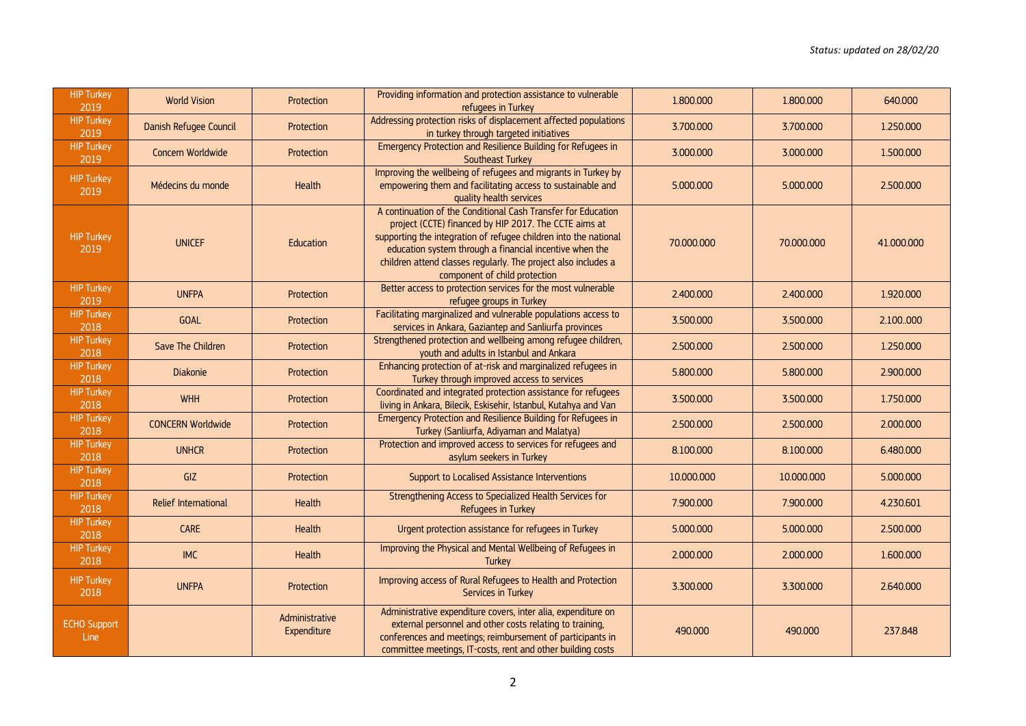| <b>HIP Turkey</b><br>2019   | <b>World Vision</b>      | Protection                    | Providing information and protection assistance to vulnerable<br>refugees in Turkey                                                                                                                                                                                                                                                                      | 1.800.000  | 1.800.000  | 640.000    |
|-----------------------------|--------------------------|-------------------------------|----------------------------------------------------------------------------------------------------------------------------------------------------------------------------------------------------------------------------------------------------------------------------------------------------------------------------------------------------------|------------|------------|------------|
| <b>HIP Turkey</b><br>2019   | Danish Refugee Council   | Protection                    | Addressing protection risks of displacement affected populations<br>in turkey through targeted initiatives                                                                                                                                                                                                                                               | 3.700.000  | 3.700.000  | 1.250.000  |
| <b>HIP Turkey</b><br>2019   | Concern Worldwide        | Protection                    | Emergency Protection and Resilience Building for Refugees in<br>Southeast Turkey                                                                                                                                                                                                                                                                         | 3.000.000  | 3.000.000  | 1.500.000  |
| <b>HIP Turkey</b><br>2019   | Médecins du monde        | Health                        | Improving the wellbeing of refugees and migrants in Turkey by<br>empowering them and facilitating access to sustainable and<br>quality health services                                                                                                                                                                                                   | 5.000.000  | 5.000.000  | 2.500.000  |
| <b>HIP Turkey</b><br>2019   | <b>UNICEF</b>            | Education                     | A continuation of the Conditional Cash Transfer for Education<br>project (CCTE) financed by HIP 2017. The CCTE aims at<br>supporting the integration of refugee children into the national<br>education system through a financial incentive when the<br>children attend classes regularly. The project also includes a<br>component of child protection | 70,000,000 | 70.000.000 | 41,000,000 |
| <b>HIP Turkey</b><br>2019   | <b>UNFPA</b>             | Protection                    | Better access to protection services for the most vulnerable<br>refugee groups in Turkey                                                                                                                                                                                                                                                                 | 2.400.000  | 2.400.000  | 1.920.000  |
| <b>HIP Turkey</b><br>2018   | <b>GOAL</b>              | Protection                    | Facilitating marginalized and vulnerable populations access to<br>services in Ankara, Gaziantep and Sanliurfa provinces                                                                                                                                                                                                                                  | 3.500.000  | 3.500.000  | 2.100.000  |
| <b>HIP Turkey</b><br>2018   | Save The Children        | Protection                    | Strengthened protection and wellbeing among refugee children,<br>youth and adults in Istanbul and Ankara                                                                                                                                                                                                                                                 | 2.500.000  | 2.500.000  | 1.250.000  |
| <b>HIP Turkey</b><br>2018   | <b>Diakonie</b>          | Protection                    | Enhancing protection of at-risk and marginalized refugees in<br>Turkey through improved access to services                                                                                                                                                                                                                                               | 5.800.000  | 5.800.000  | 2.900,000  |
| <b>HIP Turkey</b><br>2018   | <b>WHH</b>               | Protection                    | Coordinated and integrated protection assistance for refugees<br>living in Ankara, Bilecik, Eskisehir, Istanbul, Kutahya and Van                                                                                                                                                                                                                         | 3.500.000  | 3.500.000  | 1.750.000  |
| <b>HIP Turkey</b><br>2018   | <b>CONCERN Worldwide</b> | Protection                    | Emergency Protection and Resilience Building for Refugees in<br>Turkey (Sanliurfa, Adiyaman and Malatya)                                                                                                                                                                                                                                                 | 2.500.000  | 2.500.000  | 2.000.000  |
| <b>HIP Turkey</b><br>2018   | <b>UNHCR</b>             | Protection                    | Protection and improved access to services for refugees and<br>asylum seekers in Turkey                                                                                                                                                                                                                                                                  | 8.100.000  | 8.100.000  | 6.480.000  |
| <b>HIP Turkey</b><br>2018   | GIZ                      | Protection                    | Support to Localised Assistance Interventions                                                                                                                                                                                                                                                                                                            | 10.000.000 | 10.000.000 | 5.000.000  |
| <b>HIP Turkey</b><br>2018   | Relief International     | Health                        | Strengthening Access to Specialized Health Services for<br>Refugees in Turkey                                                                                                                                                                                                                                                                            | 7.900.000  | 7.900.000  | 4.230.601  |
| <b>HIP Turkey</b><br>2018   | <b>CARE</b>              | Health                        | Urgent protection assistance for refugees in Turkey                                                                                                                                                                                                                                                                                                      | 5.000.000  | 5.000.000  | 2.500.000  |
| <b>HIP Turkey</b><br>2018   | <b>IMC</b>               | Health                        | Improving the Physical and Mental Wellbeing of Refugees in<br>Turkey                                                                                                                                                                                                                                                                                     | 2.000.000  | 2.000.000  | 1.600.000  |
| <b>HIP Turkey</b><br>2018   | <b>UNFPA</b>             | Protection                    | Improving access of Rural Refugees to Health and Protection<br>Services in Turkey                                                                                                                                                                                                                                                                        | 3.300.000  | 3.300.000  | 2.640.000  |
| <b>ECHO Support</b><br>Line |                          | Administrative<br>Expenditure | Administrative expenditure covers, inter alia, expenditure on<br>external personnel and other costs relating to training,<br>conferences and meetings; reimbursement of participants in<br>committee meetings, IT-costs, rent and other building costs                                                                                                   | 490.000    | 490.000    | 237.848    |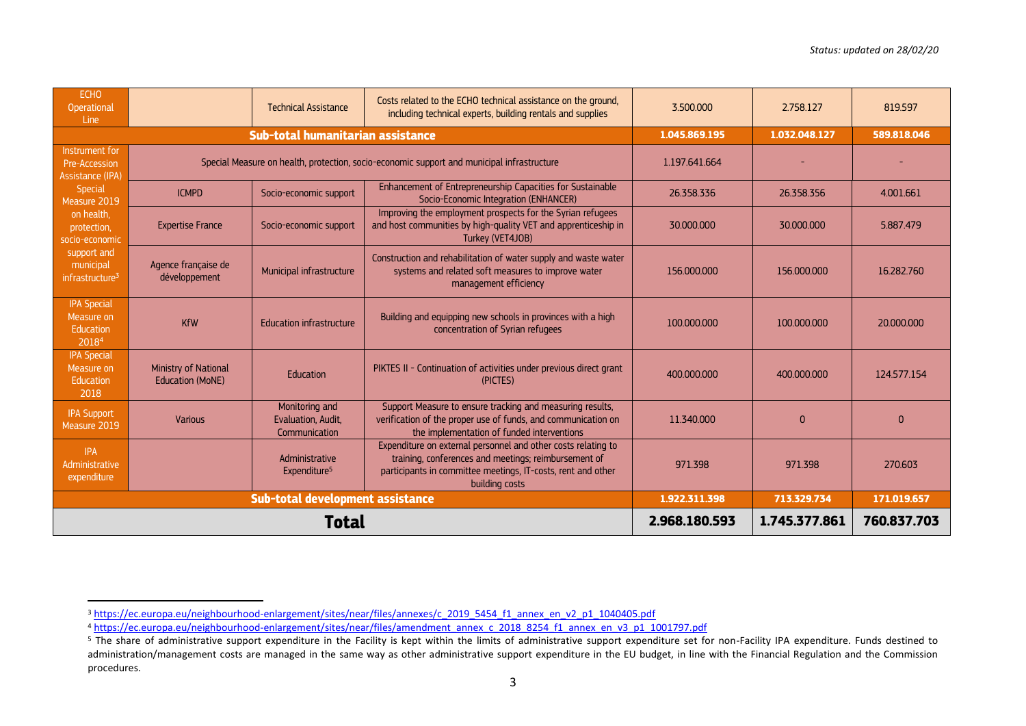| <b>ECHO</b><br><b>Operational</b><br>Line                                 |                                                 | <b>Technical Assistance</b>                                                                | Costs related to the ECHO technical assistance on the ground,<br>including technical experts, building rentals and supplies                                                                             | 3.500.000     | 2.758.127     | 819.597     |
|---------------------------------------------------------------------------|-------------------------------------------------|--------------------------------------------------------------------------------------------|---------------------------------------------------------------------------------------------------------------------------------------------------------------------------------------------------------|---------------|---------------|-------------|
|                                                                           |                                                 | Sub-total humanitarian assistance                                                          |                                                                                                                                                                                                         | 1.045.869.195 | 1.032.048.127 | 589.818.046 |
| Instrument for<br>Pre-Accession<br>Assistance (IPA)                       |                                                 | Special Measure on health, protection, socio-economic support and municipal infrastructure | 1.197.641.664                                                                                                                                                                                           |               |               |             |
| Special<br>Measure 2019                                                   | <b>ICMPD</b>                                    | Socio-economic support                                                                     | Enhancement of Entrepreneurship Capacities for Sustainable<br>Socio-Economic Integration (ENHANCER)                                                                                                     | 26.358.336    | 26.358.356    | 4.001.661   |
| on health.<br>protection,<br>socio-economic                               | <b>Expertise France</b>                         | Socio-economic support                                                                     | Improving the employment prospects for the Syrian refugees<br>and host communities by high-quality VET and apprenticeship in<br>Turkey (VET4JOB)                                                        | 30.000.000    | 30.000.000    | 5.887.479   |
| support and<br>municipal<br>infrastructure <sup>3</sup>                   | Agence française de<br>développement            | Municipal infrastructure                                                                   | Construction and rehabilitation of water supply and waste water<br>systems and related soft measures to improve water<br>management efficiency                                                          | 156,000,000   | 156,000,000   | 16.282.760  |
| <b>IPA Special</b><br>Measure on<br><b>Education</b><br>2018 <sup>4</sup> | <b>KfW</b>                                      | <b>Education infrastructure</b>                                                            | Building and equipping new schools in provinces with a high<br>concentration of Syrian refugees                                                                                                         | 100.000.000   | 100.000.000   | 20,000,000  |
| <b>IPA Special</b><br>Measure on<br><b>Education</b><br>2018              | Ministry of National<br><b>Education (MoNE)</b> | Education                                                                                  | PIKTES II - Continuation of activities under previous direct grant<br>(PICTES)                                                                                                                          | 400.000.000   | 400.000.000   | 124.577.154 |
| <b>IPA Support</b><br>Measure 2019                                        | <b>Various</b>                                  | Monitoring and<br>Evaluation, Audit,<br>Communication                                      | Support Measure to ensure tracking and measuring results,<br>verification of the proper use of funds, and communication on<br>the implementation of funded interventions                                | 11.340.000    | $\mathbf{0}$  | $\Omega$    |
| <b>IPA</b><br>Administrative<br>expenditure                               |                                                 | Administrative<br>Expenditure <sup>5</sup>                                                 | Expenditure on external personnel and other costs relating to<br>training, conferences and meetings; reimbursement of<br>participants in committee meetings, IT-costs, rent and other<br>building costs | 971.398       | 971.398       | 270.603     |
|                                                                           |                                                 | Sub-total development assistance                                                           |                                                                                                                                                                                                         | 1.922.311.398 | 713.329.734   | 171.019.657 |
|                                                                           |                                                 | Total                                                                                      | 2.968.180.593                                                                                                                                                                                           | 1.745.377.861 | 760.837.703   |             |

<sup>&</sup>lt;sup>3</sup>[https://ec.europa.eu/neighbourhood-enlargement/sites/near/files/annexes/c\\_2019\\_5454\\_f1\\_annex\\_en\\_v2\\_p1\\_1040405.pdf](https://ec.europa.eu/neighbourhood-enlargement/sites/near/files/annexes/c_2019_5454_f1_annex_en_v2_p1_1040405.pdf)

<sup>4</sup> [https://ec.europa.eu/neighbourhood-enlargement/sites/near/files/amendment\\_annex\\_c\\_2018\\_8254\\_f1\\_annex\\_en\\_v3\\_p1\\_1001797.pdf](https://ec.europa.eu/neighbourhood-enlargement/sites/near/files/amendment_annex_c_2018_8254_f1_annex_en_v3_p1_1001797.pdf)

 $5$  The share of administrative support expenditure in the Facility is kept within the limits of administrative support expenditure set for non-Facility IPA expenditure. Funds destined to administration/management costs are managed in the same way as other administrative support expenditure in the EU budget, in line with the Financial Regulation and the Commission procedures.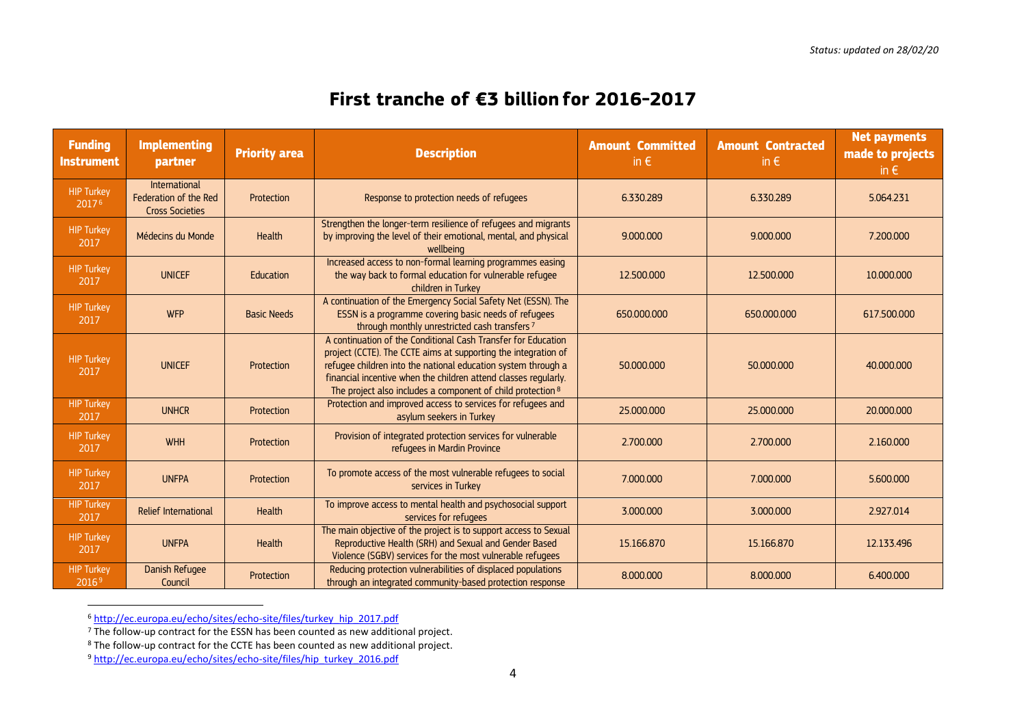## **First tranche of €3 billion for 2016-2017**

| <b>Funding</b><br><b>Instrument</b>    | <b>Implementing</b><br>partner                                   | <b>Priority area</b> | <b>Description</b>                                                                                                                                                                                                                                                                                                                 | <b>Amount Committed</b><br>in $\epsilon$ | <b>Amount Contracted</b><br>in $\epsilon$ | <b>Net payments</b><br>made to projects<br>in $\epsilon$ |
|----------------------------------------|------------------------------------------------------------------|----------------------|------------------------------------------------------------------------------------------------------------------------------------------------------------------------------------------------------------------------------------------------------------------------------------------------------------------------------------|------------------------------------------|-------------------------------------------|----------------------------------------------------------|
| <b>HIP Turkey</b><br>$2017^{6}$        | International<br>Federation of the Red<br><b>Cross Societies</b> | Protection           | Response to protection needs of refugees                                                                                                                                                                                                                                                                                           | 6.330.289                                | 6.330.289                                 | 5.064.231                                                |
| <b>HIP Turkey</b><br>2017              | Médecins du Monde                                                | Health               | Strengthen the longer-term resilience of refugees and migrants<br>by improving the level of their emotional, mental, and physical<br>wellbeing                                                                                                                                                                                     | 9.000.000                                | 9.000.000                                 | 7.200.000                                                |
| <b>HIP Turkey</b><br>2017              | <b>UNICEF</b>                                                    | Education            | Increased access to non-formal learning programmes easing<br>the way back to formal education for vulnerable refugee<br>children in Turkey                                                                                                                                                                                         | 12.500.000                               | 12.500.000                                | 10.000.000                                               |
| <b>HIP Turkey</b><br>2017              | <b>WFP</b>                                                       | <b>Basic Needs</b>   | A continuation of the Emergency Social Safety Net (ESSN). The<br>ESSN is a programme covering basic needs of refugees<br>through monthly unrestricted cash transfers <sup>7</sup>                                                                                                                                                  | 650,000,000                              | 650,000,000                               | 617.500.000                                              |
| <b>HIP Turkey</b><br>2017              | <b>UNICEF</b>                                                    | Protection           | A continuation of the Conditional Cash Transfer for Education<br>project (CCTE). The CCTE aims at supporting the integration of<br>refugee children into the national education system through a<br>financial incentive when the children attend classes regularly.<br>The project also includes a component of child protection 8 | 50,000,000                               | 50,000,000                                | 40.000.000                                               |
| <b>HIP Turkey</b><br>2017              | <b>UNHCR</b>                                                     | Protection           | Protection and improved access to services for refugees and<br>asylum seekers in Turkey                                                                                                                                                                                                                                            | 25.000.000                               | 25.000.000                                | 20.000.000                                               |
| <b>HIP Turkey</b><br>2017              | <b>WHH</b>                                                       | Protection           | Provision of integrated protection services for vulnerable<br>refugees in Mardin Province                                                                                                                                                                                                                                          | 2.700.000                                | 2.700.000                                 | 2.160,000                                                |
| <b>HIP Turkey</b><br>2017              | <b>UNFPA</b>                                                     | Protection           | To promote access of the most vulnerable refugees to social<br>services in Turkey                                                                                                                                                                                                                                                  | 7.000.000                                | 7.000.000                                 | 5.600.000                                                |
| <b>HIP Turkey</b><br>2017              | <b>Relief International</b>                                      | Health               | To improve access to mental health and psychosocial support<br>services for refugees                                                                                                                                                                                                                                               | 3.000.000                                | 3.000.000                                 | 2.927.014                                                |
| <b>HIP Turkey</b><br>2017              | <b>UNFPA</b>                                                     | <b>Health</b>        | The main objective of the project is to support access to Sexual<br>Reproductive Health (SRH) and Sexual and Gender Based<br>Violence (SGBV) services for the most vulnerable refugees                                                                                                                                             | 15.166.870                               | 15.166.870                                | 12.133.496                                               |
| <b>HIP Turkey</b><br>2016 <sup>9</sup> | Danish Refugee<br>Council                                        | Protection           | Reducing protection vulnerabilities of displaced populations<br>through an integrated community-based protection response                                                                                                                                                                                                          | 8.000.000                                | 8.000.000                                 | 6.400.000                                                |

<sup>6</sup> http://ec.europa.eu/echo/sites/echo-site/files/turkey\_hip\_2017.pdf

 $<sup>7</sup>$  The follow-up contract for the ESSN has been counted as new additional project.</sup>

 $8$  The follow-up contract for the CCTE has been counted as new additional project.

<sup>9</sup> http://ec.europa.eu/echo/sites/echo-site/files/hip\_turkey\_2016.pdf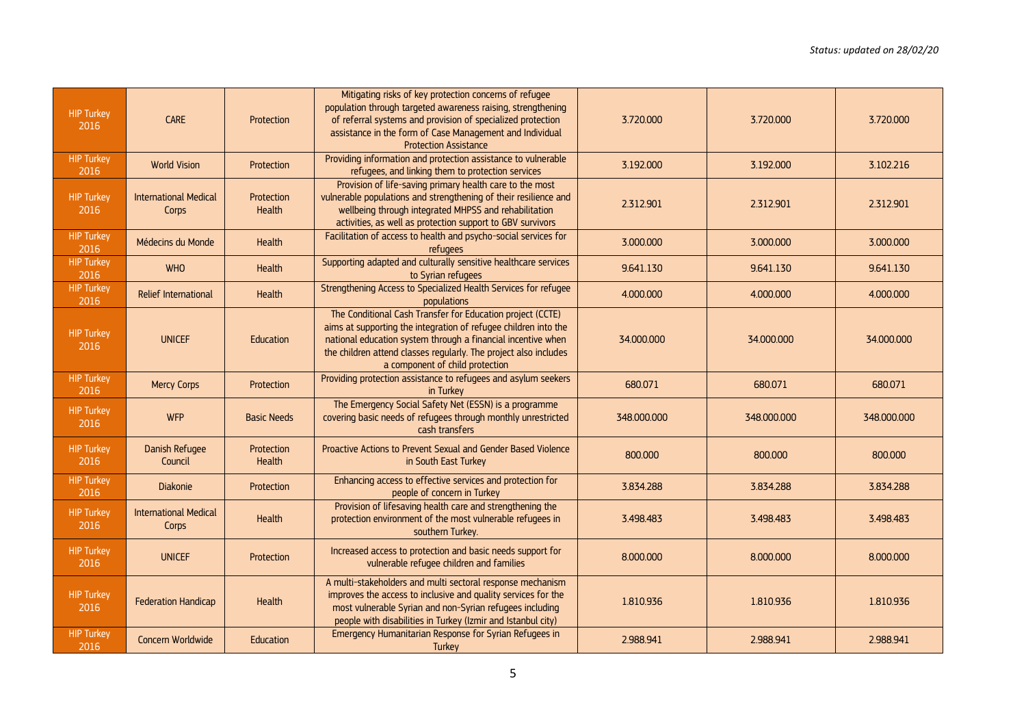| <b>HIP Turkey</b><br>2016 | CARE                                  | Protection                  | Mitigating risks of key protection concerns of refugee<br>population through targeted awareness raising, strengthening<br>of referral systems and provision of specialized protection<br>assistance in the form of Case Management and Individual<br><b>Protection Assistance</b>                    | 3.720.000   | 3.720.000   | 3.720.000   |
|---------------------------|---------------------------------------|-----------------------------|------------------------------------------------------------------------------------------------------------------------------------------------------------------------------------------------------------------------------------------------------------------------------------------------------|-------------|-------------|-------------|
| <b>HIP Turkey</b><br>2016 | <b>World Vision</b>                   | Protection                  | Providing information and protection assistance to vulnerable<br>refugees, and linking them to protection services                                                                                                                                                                                   | 3.192.000   | 3.192.000   | 3.102.216   |
| <b>HIP Turkey</b><br>2016 | <b>International Medical</b><br>Corps | Protection<br><b>Health</b> | Provision of life-saving primary health care to the most<br>vulnerable populations and strengthening of their resilience and<br>wellbeing through integrated MHPSS and rehabilitation<br>activities, as well as protection support to GBV survivors                                                  | 2.312.901   | 2.312.901   | 2.312.901   |
| <b>HIP Turkey</b><br>2016 | Médecins du Monde                     | Health                      | Facilitation of access to health and psycho-social services for<br>refugees                                                                                                                                                                                                                          | 3.000.000   | 3.000.000   | 3.000.000   |
| <b>HIP Turkey</b><br>2016 | <b>WHO</b>                            | Health                      | Supporting adapted and culturally sensitive healthcare services<br>to Syrian refugees                                                                                                                                                                                                                | 9.641.130   | 9.641.130   | 9.641.130   |
| <b>HIP Turkey</b><br>2016 | <b>Relief International</b>           | Health                      | Strengthening Access to Specialized Health Services for refugee<br>populations                                                                                                                                                                                                                       | 4.000.000   | 4.000.000   | 4.000.000   |
| <b>HIP Turkey</b><br>2016 | <b>UNICEF</b>                         | Education                   | The Conditional Cash Transfer for Education project (CCTE)<br>aims at supporting the integration of refugee children into the<br>national education system through a financial incentive when<br>the children attend classes regularly. The project also includes<br>a component of child protection | 34.000.000  | 34.000.000  | 34.000.000  |
| <b>HIP Turkey</b><br>2016 | <b>Mercy Corps</b>                    | Protection                  | Providing protection assistance to refugees and asylum seekers<br>in Turkey                                                                                                                                                                                                                          | 680.071     | 680.071     | 680.071     |
| <b>HIP Turkey</b><br>2016 | <b>WFP</b>                            | <b>Basic Needs</b>          | The Emergency Social Safety Net (ESSN) is a programme<br>covering basic needs of refugees through monthly unrestricted<br>cash transfers                                                                                                                                                             | 348.000.000 | 348.000.000 | 348.000.000 |
| <b>HIP Turkey</b><br>2016 | Danish Refugee<br>Council             | Protection<br>Health        | Proactive Actions to Prevent Sexual and Gender Based Violence<br>in South East Turkey                                                                                                                                                                                                                | 800,000     | 800,000     | 800,000     |
| <b>HIP Turkey</b><br>2016 | <b>Diakonie</b>                       | Protection                  | Enhancing access to effective services and protection for<br>people of concern in Turkey                                                                                                                                                                                                             | 3.834.288   | 3.834.288   | 3.834.288   |
| <b>HIP Turkey</b><br>2016 | <b>International Medical</b><br>Corps | <b>Health</b>               | Provision of lifesaving health care and strengthening the<br>protection environment of the most vulnerable refugees in<br>southern Turkey.                                                                                                                                                           | 3.498.483   | 3.498.483   | 3.498.483   |
| <b>HIP Turkey</b><br>2016 | <b>UNICEF</b>                         | Protection                  | Increased access to protection and basic needs support for<br>vulnerable refugee children and families                                                                                                                                                                                               | 8.000.000   | 8.000.000   | 8.000.000   |
| <b>HIP Turkey</b><br>2016 | <b>Federation Handicap</b>            | Health                      | A multi-stakeholders and multi sectoral response mechanism<br>improves the access to inclusive and quality services for the<br>most vulnerable Syrian and non-Syrian refugees including<br>people with disabilities in Turkey (Izmir and Istanbul city)                                              | 1.810.936   | 1.810.936   | 1.810.936   |
| <b>HIP Turkey</b><br>2016 | Concern Worldwide                     | Education                   | Emergency Humanitarian Response for Syrian Refugees in<br>Turkey                                                                                                                                                                                                                                     | 2.988.941   | 2.988.941   | 2.988.941   |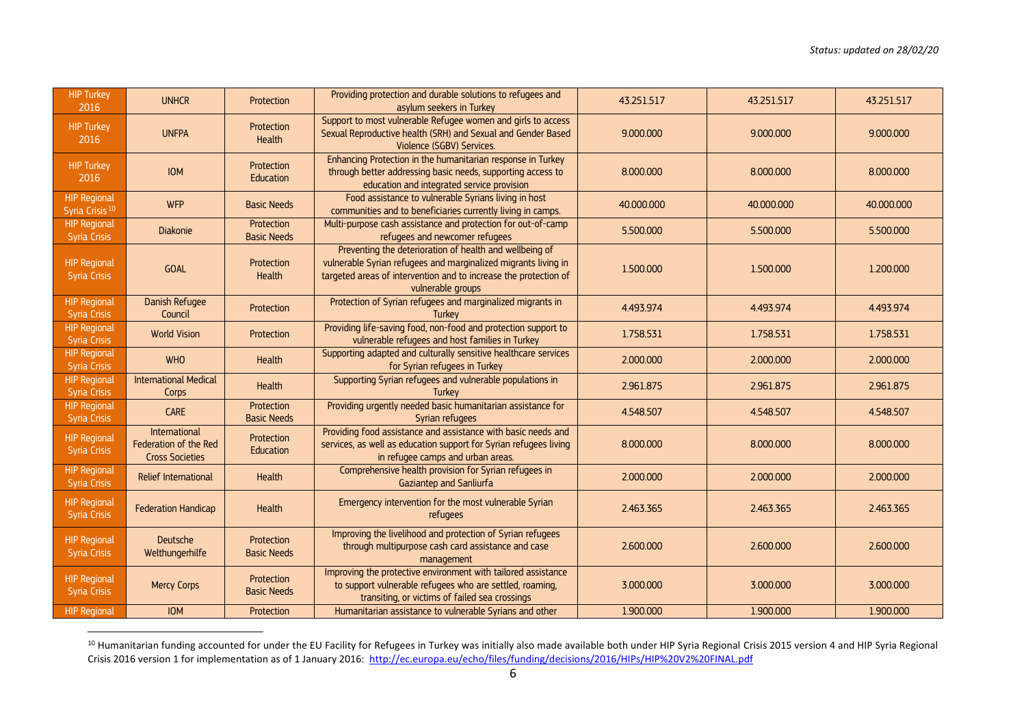| <b>HIP Turkey</b><br>2016                         | <b>UNHCR</b>                                                     | Protection                       | Providing protection and durable solutions to refugees and<br>asylum seekers in Turkey                                                                                                                             | 43.251.517 | 43.251.517 | 43.251.517 |
|---------------------------------------------------|------------------------------------------------------------------|----------------------------------|--------------------------------------------------------------------------------------------------------------------------------------------------------------------------------------------------------------------|------------|------------|------------|
| <b>HIP Turkey</b><br>2016                         | <b>UNFPA</b>                                                     | Protection<br><b>Health</b>      | Support to most vulnerable Refugee women and girls to access<br>Sexual Reproductive health (SRH) and Sexual and Gender Based<br>Violence (SGBV) Services.                                                          | 9.000.000  | 9.000.000  | 9.000.000  |
| <b>HIP Turkey</b><br>2016                         | <b>IOM</b>                                                       | Protection<br>Education          | Enhancing Protection in the humanitarian response in Turkey<br>through better addressing basic needs, supporting access to<br>education and integrated service provision                                           | 8.000.000  | 8.000.000  | 8.000.000  |
| <b>HIP Regional</b><br>Syria Crisis <sup>10</sup> | <b>WFP</b>                                                       | <b>Basic Needs</b>               | Food assistance to vulnerable Syrians living in host<br>communities and to beneficiaries currently living in camps.                                                                                                | 40.000.000 | 40.000.000 | 40.000.000 |
| <b>HIP Regional</b><br><b>Syria Crisis</b>        | Diakonie                                                         | Protection<br><b>Basic Needs</b> | Multi-purpose cash assistance and protection for out-of-camp<br>refugees and newcomer refugees                                                                                                                     | 5.500.000  | 5.500.000  | 5.500.000  |
| <b>HIP Regional</b><br><b>Syria Crisis</b>        | <b>GOAL</b>                                                      | Protection<br>Health             | Preventing the deterioration of health and wellbeing of<br>vulnerable Syrian refugees and marginalized migrants living in<br>targeted areas of intervention and to increase the protection of<br>vulnerable groups | 1.500.000  | 1.500.000  | 1.200.000  |
| <b>HIP Regional</b><br><b>Syria Crisis</b>        | Danish Refugee<br>Council                                        | Protection                       | Protection of Syrian refugees and marginalized migrants in<br>Turkey                                                                                                                                               | 4.493.974  | 4.493.974  | 4.493.974  |
| <b>HIP Regional</b><br><b>Syria Crisis</b>        | <b>World Vision</b>                                              | Protection                       | Providing life-saving food, non-food and protection support to<br>vulnerable refugees and host families in Turkey                                                                                                  | 1.758.531  | 1.758.531  | 1.758.531  |
| <b>HIP Regional</b><br><b>Syria Crisis</b>        | <b>WHO</b>                                                       | Health                           | Supporting adapted and culturally sensitive healthcare services<br>for Syrian refugees in Turkey                                                                                                                   | 2.000.000  | 2.000,000  | 2.000.000  |
| <b>HIP Regional</b><br><b>Syria Crisis</b>        | <b>International Medical</b><br>Corps                            | Health                           | Supporting Syrian refugees and vulnerable populations in<br>Turkey                                                                                                                                                 | 2.961.875  | 2.961.875  | 2.961.875  |
| <b>HIP Regional</b><br><b>Syria Crisis</b>        | <b>CARE</b>                                                      | Protection<br><b>Basic Needs</b> | Providing urgently needed basic humanitarian assistance for<br>Syrian refugees                                                                                                                                     | 4.548.507  | 4.548.507  | 4.548.507  |
| <b>HIP Regional</b><br><b>Syria Crisis</b>        | International<br>Federation of the Red<br><b>Cross Societies</b> | Protection<br>Education          | Providing food assistance and assistance with basic needs and<br>services, as well as education support for Syrian refugees living<br>in refugee camps and urban areas.                                            | 8.000.000  | 8.000.000  | 8.000.000  |
| <b>HIP Regional</b><br><b>Syria Crisis</b>        | Relief International                                             | Health                           | Comprehensive health provision for Syrian refugees in<br>Gaziantep and Sanliurfa                                                                                                                                   | 2.000.000  | 2.000.000  | 2.000.000  |
| <b>HIP Regional</b><br><b>Syria Crisis</b>        | <b>Federation Handicap</b>                                       | Health                           | Emergency intervention for the most vulnerable Syrian<br><i>refugees</i>                                                                                                                                           | 2.463.365  | 2.463.365  | 2.463.365  |
| <b>HIP Regional</b><br><b>Syria Crisis</b>        | Deutsche<br>Welthungerhilfe                                      | Protection<br><b>Basic Needs</b> | Improving the livelihood and protection of Syrian refugees<br>through multipurpose cash card assistance and case<br>management                                                                                     | 2.600.000  | 2.600.000  | 2.600.000  |
| <b>HIP Regional</b><br><b>Syria Crisis</b>        | <b>Mercy Corps</b>                                               | Protection<br><b>Basic Needs</b> | Improving the protective environment with tailored assistance<br>to support vulnerable refugees who are settled, roaming,<br>transiting, or victims of failed sea crossings                                        | 3.000.000  | 3.000.000  | 3.000.000  |
| <b>HIP Regional</b>                               | <b>IOM</b>                                                       | Protection                       | Humanitarian assistance to vulnerable Syrians and other                                                                                                                                                            | 1.900.000  | 1.900.000  | 1.900.000  |

<sup>&</sup>lt;sup>10</sup> Humanitarian funding accounted for under the EU Facility for Refugees in Turkey was initially also made available both under HIP Syria Regional Crisis 2015 version 4 and HIP Syria Regional Crisis 2016 version 1 for implementation as of 1 January 2016:<http://ec.europa.eu/echo/files/funding/decisions/2016/HIPs/HIP%20V2%20FINAL.pdf>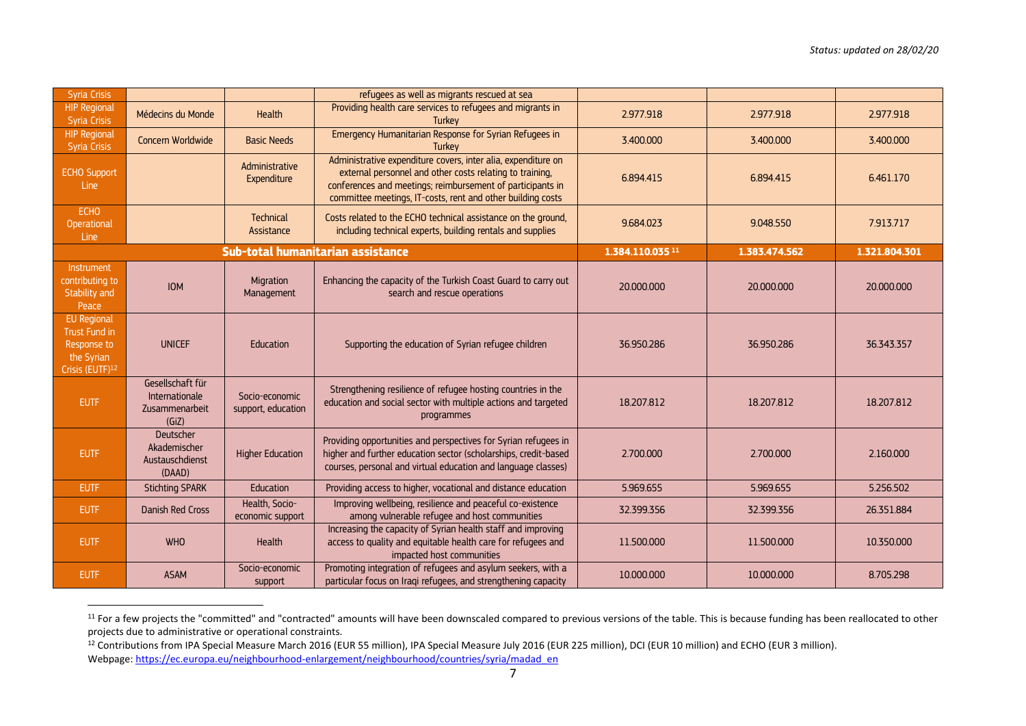| <b>Syria Crisis</b>                                                                             |                                                               |                                      | refugees as well as migrants rescued at sea                                                                                                                                                                                                            |                             |               |               |
|-------------------------------------------------------------------------------------------------|---------------------------------------------------------------|--------------------------------------|--------------------------------------------------------------------------------------------------------------------------------------------------------------------------------------------------------------------------------------------------------|-----------------------------|---------------|---------------|
| <b>HIP Regional</b><br><b>Syria Crisis</b>                                                      | Médecins du Monde                                             | Health                               | Providing health care services to refugees and migrants in<br><b>Turkey</b>                                                                                                                                                                            | 2.977.918                   | 2.977.918     | 2.977.918     |
| <b>HIP Regional</b><br><b>Syria Crisis</b>                                                      | Concern Worldwide                                             | <b>Basic Needs</b>                   | Emergency Humanitarian Response for Syrian Refugees in<br><b>Turkey</b>                                                                                                                                                                                | 3.400.000                   | 3.400.000     | 3.400.000     |
| <b>ECHO Support</b><br>Line                                                                     |                                                               | Administrative<br>Expenditure        | Administrative expenditure covers, inter alia, expenditure on<br>external personnel and other costs relating to training,<br>conferences and meetings; reimbursement of participants in<br>committee meetings, IT-costs, rent and other building costs | 6.894.415                   | 6.894.415     | 6.461.170     |
| <b>ECHO</b><br>Operational<br>Line                                                              |                                                               | Technical<br>Assistance              | Costs related to the ECHO technical assistance on the ground,<br>including technical experts, building rentals and supplies                                                                                                                            | 9.684.023                   | 9.048.550     | 7.913.717     |
|                                                                                                 |                                                               |                                      | Sub-total humanitarian assistance                                                                                                                                                                                                                      | 1.384.110.035 <sup>11</sup> | 1.383.474.562 | 1.321.804.301 |
| Instrument<br>contributing to<br>Stability and<br>Peace                                         | <b>IOM</b>                                                    | Migration<br>Management              | Enhancing the capacity of the Turkish Coast Guard to carry out<br>search and rescue operations                                                                                                                                                         | 20,000,000                  | 20,000,000    | 20,000,000    |
| <b>EU Regional</b><br>Trust Fund in<br>Response to<br>the Syrian<br>Crisis (EUTF) <sup>12</sup> | <b>UNICEF</b>                                                 | Education                            | Supporting the education of Syrian refugee children                                                                                                                                                                                                    | 36.950.286                  | 36.950.286    | 36.343.357    |
| <b>EUTF</b>                                                                                     | Gesellschaft für<br>Internationale<br>Zusammenarbeit<br>(GiZ) | Socio-economic<br>support, education | Strengthening resilience of refugee hosting countries in the<br>education and social sector with multiple actions and targeted<br>programmes                                                                                                           | 18.207.812                  | 18.207.812    | 18.207.812    |
| <b>EUTF</b>                                                                                     | Deutscher<br>Akademischer<br>Austauschdienst<br>(DAAD)        | <b>Higher Education</b>              | Providing opportunities and perspectives for Syrian refugees in<br>higher and further education sector (scholarships, credit-based<br>courses, personal and virtual education and language classes)                                                    | 2.700.000                   | 2.700.000     | 2.160,000     |
| <b>EUTF</b>                                                                                     | <b>Stichting SPARK</b>                                        | Education                            | Providing access to higher, vocational and distance education                                                                                                                                                                                          | 5.969.655                   | 5.969.655     | 5.256.502     |
| <b>EUTF</b>                                                                                     | <b>Danish Red Cross</b>                                       | Health, Socio-<br>economic support   | Improving wellbeing, resilience and peaceful co-existence<br>among vulnerable refugee and host communities                                                                                                                                             | 32.399.356                  | 32.399.356    | 26.351.884    |
| <b>EUTF</b>                                                                                     | <b>WHO</b>                                                    | Health                               | Increasing the capacity of Syrian health staff and improving<br>access to quality and equitable health care for refugees and<br>impacted host communities                                                                                              | 11.500.000                  | 11.500.000    | 10.350.000    |
| <b>EUTF</b>                                                                                     | <b>ASAM</b>                                                   | Socio-economic<br>support            | Promoting integration of refugees and asylum seekers, with a<br>particular focus on Iraqi refugees, and strengthening capacity                                                                                                                         | 10.000.000                  | 10.000.000    | 8.705.298     |

<sup>&</sup>lt;sup>11</sup> For a few projects the "committed" and "contracted" amounts will have been downscaled compared to previous versions of the table. This is because funding has been reallocated to other projects due to administrative or operational constraints.

<sup>&</sup>lt;sup>12</sup> Contributions from IPA Special Measure March 2016 (EUR 55 million), IPA Special Measure July 2016 (EUR 225 million), DCI (EUR 10 million) and ECHO (EUR 3 million). Webpage[: https://ec.europa.eu/neighbourhood-enlargement/neighbourhood/countries/syria/madad\\_en](https://ec.europa.eu/neighbourhood-enlargement/neighbourhood/countries/syria/madad_en)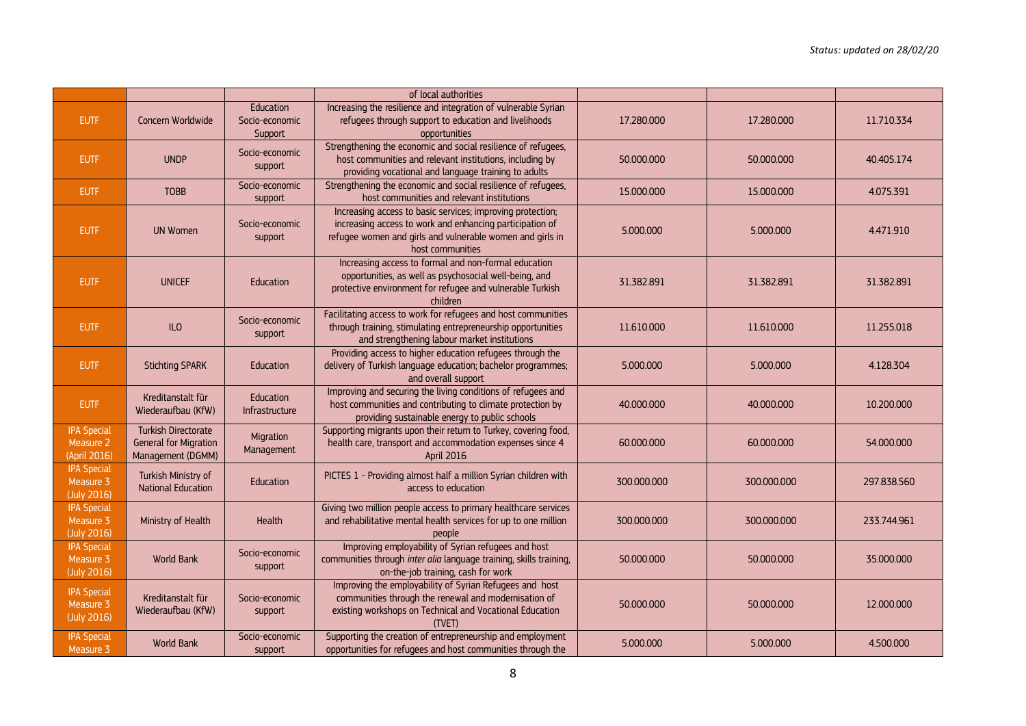|                                                 |                                                                                 |                                        | of local authorities                                                                                                                                                                                    |             |             |             |
|-------------------------------------------------|---------------------------------------------------------------------------------|----------------------------------------|---------------------------------------------------------------------------------------------------------------------------------------------------------------------------------------------------------|-------------|-------------|-------------|
| <b>EUTF</b>                                     | Concern Worldwide                                                               | Education<br>Socio-economic<br>Support | Increasing the resilience and integration of vulnerable Syrian<br>refugees through support to education and livelihoods<br>opportunities                                                                | 17.280.000  | 17.280.000  | 11.710.334  |
| <b>EUTF</b>                                     | <b>UNDP</b>                                                                     | Socio-economic<br>support              | Strengthening the economic and social resilience of refugees,<br>host communities and relevant institutions, including by<br>providing vocational and language training to adults                       | 50.000.000  | 50.000.000  | 40.405.174  |
| <b>EUTF</b>                                     | <b>TOBB</b>                                                                     | Socio-economic<br>support              | Strengthening the economic and social resilience of refugees,<br>host communities and relevant institutions                                                                                             | 15.000.000  | 15.000.000  | 4.075.391   |
| <b>EUTF</b>                                     | <b>UN Women</b>                                                                 | Socio-economic<br>support              | Increasing access to basic services; improving protection;<br>increasing access to work and enhancing participation of<br>refugee women and girls and vulnerable women and girls in<br>host communities | 5.000.000   | 5.000.000   | 4.471.910   |
| <b>EUTF</b>                                     | <b>UNICEF</b>                                                                   | <b>Education</b>                       | Increasing access to formal and non-formal education<br>opportunities, as well as psychosocial well-being, and<br>protective environment for refugee and vulnerable Turkish<br>children                 | 31.382.891  | 31.382.891  | 31.382.891  |
| <b>EUTF</b>                                     | ILO                                                                             | Socio-economic<br>support              | Facilitating access to work for refugees and host communities<br>through training, stimulating entrepreneurship opportunities<br>and strengthening labour market institutions                           | 11.610.000  | 11.610.000  | 11.255.018  |
| <b>EUTF</b>                                     | <b>Stichting SPARK</b>                                                          | Education                              | Providing access to higher education refugees through the<br>delivery of Turkish language education; bachelor programmes;<br>and overall support                                                        | 5.000.000   | 5.000.000   | 4.128.304   |
| EUTF                                            | Kreditanstalt für<br>Wiederaufbau (KfW)                                         | Education<br>Infrastructure            | Improving and securing the living conditions of refugees and<br>host communities and contributing to climate protection by<br>providing sustainable energy to public schools                            | 40.000.000  | 40.000.000  | 10.200.000  |
| <b>IPA Special</b><br>Measure 2<br>(April 2016) | <b>Turkish Directorate</b><br><b>General for Migration</b><br>Management (DGMM) | Migration<br>Management                | Supporting migrants upon their return to Turkey, covering food,<br>health care, transport and accommodation expenses since 4<br><b>April 2016</b>                                                       | 60.000.000  | 60.000.000  | 54.000.000  |
| <b>IPA Special</b><br>Measure 3<br>(July 2016)  | Turkish Ministry of<br><b>National Education</b>                                | Education                              | PICTES 1 - Providing almost half a million Syrian children with<br>access to education                                                                                                                  | 300.000.000 | 300.000.000 | 297.838.560 |
| <b>IPA Special</b><br>Measure 3<br>(July 2016)  | Ministry of Health                                                              | <b>Health</b>                          | Giving two million people access to primary healthcare services<br>and rehabilitative mental health services for up to one million<br>people                                                            | 300.000.000 | 300,000,000 | 233.744.961 |
| <b>IPA Special</b><br>Measure 3<br>(July 2016)  | World Bank                                                                      | Socio-economic<br>support              | Improving employability of Syrian refugees and host<br>communities through inter alia language training, skills training,<br>on-the-job training, cash for work                                         | 50.000.000  | 50.000.000  | 35.000.000  |
| <b>IPA Special</b><br>Measure 3<br>(July 2016)  | Kreditanstalt für<br>Wiederaufbau (KfW)                                         | Socio-economic<br>support              | Improving the employability of Syrian Refugees and host<br>communities through the renewal and modernisation of<br>existing workshops on Technical and Vocational Education<br>(TVET)                   | 50.000.000  | 50.000.000  | 12.000.000  |
| <b>IPA Special</b><br>Measure 3                 | World Bank                                                                      | Socio-economic<br>support              | Supporting the creation of entrepreneurship and employment<br>opportunities for refugees and host communities through the                                                                               | 5.000.000   | 5.000.000   | 4.500.000   |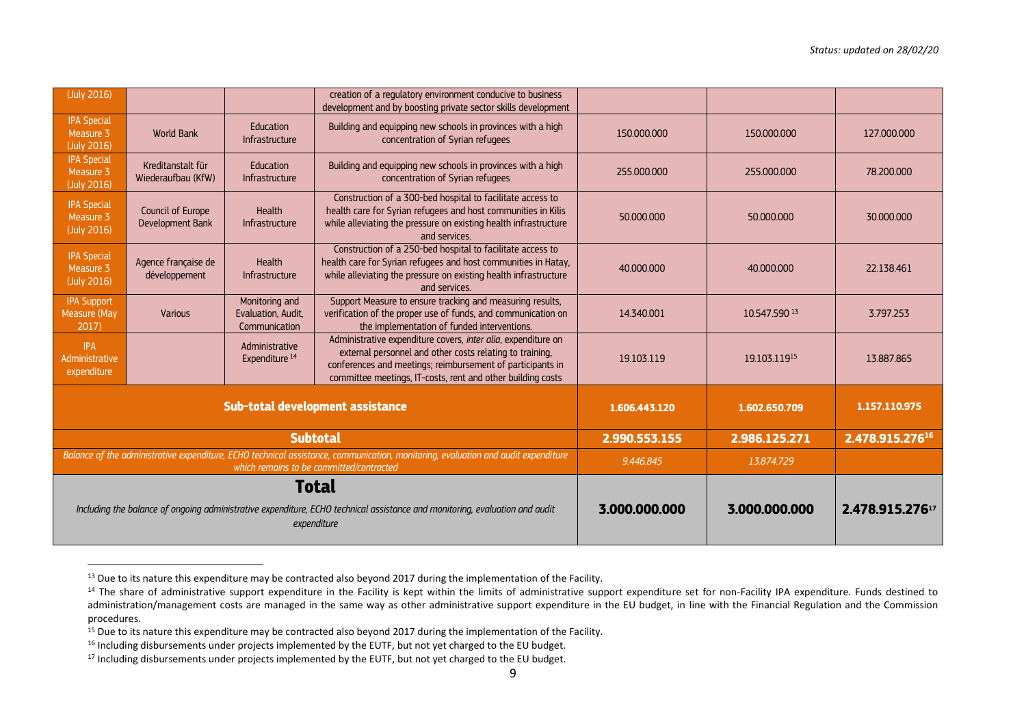| (July 2016)                                                                                                                                                                   |                                         |                                                       | creation of a regulatory environment conducive to business<br>development and by boosting private sector skills development                                                                                                                            |               |               |                 |
|-------------------------------------------------------------------------------------------------------------------------------------------------------------------------------|-----------------------------------------|-------------------------------------------------------|--------------------------------------------------------------------------------------------------------------------------------------------------------------------------------------------------------------------------------------------------------|---------------|---------------|-----------------|
| <b>IPA Special</b><br>Measure 3<br>(July 2016)                                                                                                                                | <b>World Bank</b>                       | Education<br>Infrastructure                           | Building and equipping new schools in provinces with a high<br>concentration of Syrian refugees                                                                                                                                                        | 150,000,000   | 150,000,000   | 127,000,000     |
| <b>IPA Special</b><br>Measure 3<br>(July 2016)                                                                                                                                | Kreditanstalt für<br>Wiederaufbau (KfW) | Education<br>Infrastructure                           | Building and equipping new schools in provinces with a high<br>concentration of Syrian refugees                                                                                                                                                        | 255,000,000   | 255,000,000   | 78,200,000      |
| <b>IPA Special</b><br>Measure 3<br>(July 2016)                                                                                                                                | Council of Europe<br>Development Bank   | Health<br>Infrastructure                              | Construction of a 300-bed hospital to facilitate access to<br>health care for Syrian refugees and host communities in Kilis<br>while alleviating the pressure on existing health infrastructure<br>and services.                                       | 50,000,000    | 50,000,000    | 30.000.000      |
| <b>IPA Special</b><br>Measure 3<br>(July 2016)                                                                                                                                | Agence française de<br>développement    | <b>Health</b><br><b>Infrastructure</b>                | Construction of a 250-bed hospital to facilitate access to<br>health care for Syrian refugees and host communities in Hatay,<br>while alleviating the pressure on existing health infrastructure<br>and services                                       | 40,000,000    | 40,000,000    | 22.138.461      |
| <b>IPA Support</b><br>Measure (May<br>2017)                                                                                                                                   | Various                                 | Monitoring and<br>Evaluation, Audit,<br>Communication | Support Measure to ensure tracking and measuring results,<br>verification of the proper use of funds, and communication on<br>the implementation of funded interventions.                                                                              | 14.340.001    | 10.547.590 13 | 3.797.253       |
| <b>IPA</b><br>Administrative<br>expenditure                                                                                                                                   |                                         | Administrative<br>Expenditure <sup>14</sup>           | Administrative expenditure covers, inter alia, expenditure on<br>external personnel and other costs relating to training,<br>conferences and meetings; reimbursement of participants in<br>committee meetings, IT-costs, rent and other building costs | 19.103.119    | 19.103.11915  | 13.887.865      |
| Sub-total development assistance                                                                                                                                              |                                         |                                                       |                                                                                                                                                                                                                                                        | 1.606.443.120 | 1.602.650.709 | 1.157.110.975   |
|                                                                                                                                                                               |                                         |                                                       | <b>Subtotal</b>                                                                                                                                                                                                                                        | 2.990.553.155 | 2.986.125.271 | 2.478.915.27616 |
| Balance of the administrative expenditure, ECHO technical assistance, communication, monitoring, evaluation and audit expenditure<br>which remains to be committed/contracted |                                         |                                                       |                                                                                                                                                                                                                                                        | 9.446.845     | 13.874.729    |                 |
| Total<br>Including the balance of ongoing administrative expenditure, ECHO technical assistance and monitoring, evaluation and audit<br>expenditure                           |                                         |                                                       |                                                                                                                                                                                                                                                        | 3.000.000.000 | 3.000.000.000 | 2.478.915.27617 |

<sup>&</sup>lt;sup>13</sup> Due to its nature this expenditure may be contracted also beyond 2017 during the implementation of the Facility.

 $\overline{a}$ 

<sup>&</sup>lt;sup>14</sup> The share of administrative support expenditure in the Facility is kept within the limits of administrative support expenditure set for non-Facility IPA expenditure. Funds destined to administration/management costs are managed in the same way as other administrative support expenditure in the EU budget, in line with the Financial Regulation and the Commission procedures.

<sup>&</sup>lt;sup>15</sup> Due to its nature this expenditure may be contracted also beyond 2017 during the implementation of the Facility.

<sup>&</sup>lt;sup>16</sup> Including disbursements under projects implemented by the EUTF, but not yet charged to the EU budget.

<sup>&</sup>lt;sup>17</sup> Including disbursements under projects implemented by the EUTF, but not yet charged to the EU budget.